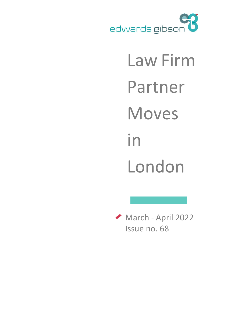

# Law Firm Partner Moves in London

March - April 2022 Issue no. 68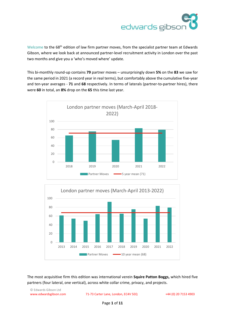

Welcome to the 68<sup>th</sup> edition of law firm partner moves, from the specialist partner team at Edwards Gibson, where we look back at announced partner-level recruitment activity in London over the past two months and give you a 'who's moved where' update.

This bi-monthly round-up contains **79** partner moves – unsurprisingly down **5%** on the **83** we saw for the same period in 2021 (a record year in real terms), but comfortably above the cumulative five-year and ten-year averages - **71** and **68** respectively. In terms of laterals (partner-to-partner hires), there were **60** in total, an **8%** drop on the **65** this time last year.





The most acquisitive firm this edition was international verein **Squire Patton Boggs,** which hired five partners (four lateral, one vertical), across white collar crime, privacy, and projects.

© Edwards Gibson Ltd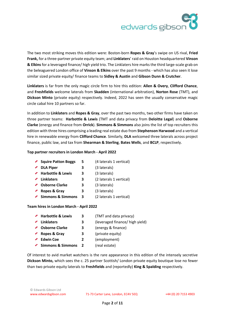

The two most striking moves this edition were: Boston-born **Ropes & Gray**'s swipe on US rival, **Fried Frank,** for a three-partner private equity team; and **Linklaters**' raid on Houston headquartered **Vinson & Elkins** for a leveraged finance/ high yield trio. The Linklaters hire marks the third large-scale grab on the beleaguered London office of **Vinson & Elkins** over the past 9 months - which has also seen it lose similar sized private equity/ finance teams to **Sidley & Austin** and **Gibson Dunn & Crutcher**.

**Linklaters** is far from the only magic circle firm to hire this edition: **Allen & Overy**, **Clifford Chance**, and **Freshfields** welcome laterals from **Skadden** (international arbitration), **Norton Rose** (TMT), and **Dickson Minto** (private equity) respectively. Indeed, 2022 has seen the usually conservative magic circle cabal hire 10 partners so far.

In addition to **Linklaters** and **Ropes & Gray**, over the past two months, two other firms have taken on three partner teams: **Harbottle & Lewis** (TMT and data privacy from **Deloitte Legal**) and **Osborne Clarke** (energy and finance from **Orrick**). **Simmons & Simmons** also joins the list of top recruiters this edition with three hires comprising a leading real estate duo from **Stephenson Harwood** and a vertical hire in renewable energy from **Clifford Chance**. Similarly, **DLA** welcomed three laterals across project finance, public law, and tax from **Shearman & Sterling**, **Bates Wells**, and **BCLP**, respectively.

## **Top partner recruiters in London March - April 2022**

- ◆ **Squire Patton Boggs 5** (4 laterals 1 vertical)
- **DLA Piper 3** (3 laterals)
- **Harbottle & Lewis 3** (3 laterals)
- **Linklaters 3** (2 laterals 1 vertical)
- **Osborne Clarke 3** (3 laterals) ◢
- **Ropes & Gray 3** (3 laterals)
- ◆ Simmons & Simmons 3 (2 laterals 1 vertical)

# **Team hires in London March - April 2022**

| <b>Harbottle &amp; Lewis</b> | З            | (TMT and data privacy)          |
|------------------------------|--------------|---------------------------------|
| Linklaters                   | 3            | (leveraged finance/ high yield) |
| <b>Osborne Clarke</b>        | 3            | (energy & finance)              |
| Ropes & Gray                 | З            | (private equity)                |
| <b>Edwin Coe</b>             | 2            | (employment)                    |
| <b>Simmons &amp; Simmons</b> | <sup>2</sup> | (real estate)                   |
|                              |              |                                 |

Of interest to avid market watchers is the rare appearance in this edition of the intensely secretive **Dickson Minto,** which sees the c. 25 partner Scottish/ London private equity boutique lose no fewer than two private equity laterals to **Freshfields** and (reportedly) **King & Spalding** respectively.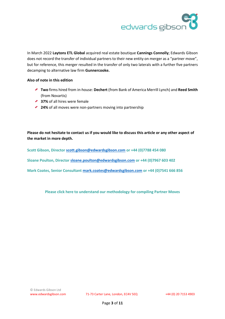

In March 2022 **Laytons ETL Global** acquired real estate boutique **Cannings Connolly**; Edwards Gibson does not record the transfer of individual partners to their new entity on merger as a "partner move", but for reference, this merger resulted in the transfer of only two laterals with a further five partners decamping to alternative law firm **Gunnercooke.**

## **Also of note in this edition**

- **Two** firms hired from in-house: **Dechert** (from Bank of America Merrill Lynch) and **Reed Smith** (from Novartis)
- ◆ 37% of all hires were female
- ◆ **24%** of all moves were non-partners moving into partnership

**Please do not hesitate to contact us if you would like to discuss this article or any other aspect of the market in more depth.** 

**Scott Gibson, Director [scott.gibson@edwardsgibson.com](mailto:scott.gibson@edwardsgibson.com) or +44 (0)7788 454 080**

**Sloane Poulton, Director [sloane.poulton@edwardsgibson.com](mailto:sloane.poulton@edwardsgibson.com) or +44 (0)7967 603 402**

**Mark Coates, Senior Consultant [mark.coates@edwardsgibson.com](mailto:mark.coates@edwardsgibson.com) or +44 (0)7541 666 856**

**[Please click here to understand our methodology for compiling Partner Moves](http://www.edwardsgibson.com/article/view/368)**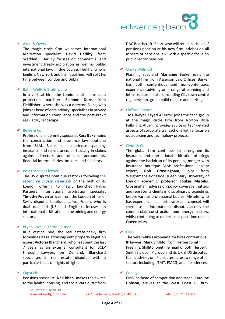

## ◆ Allen & Overy

The magic circle firm welcomes international arbitration specialist, **David Herlihy**, from Skadden. Herlihy focuses on commercial and investment treaty arbitration as well as public international law; in due course, Herlihy, who is English, New York and Irish qualified, will split his time between London and Dublin.

#### ◆ Bates Wells & Braithwaite

In a vertical hire, the London outfit nabs data protection barrister **Eleonor Duhs** from Fieldfisher, where she was a director. Duhs, who joins as head of data privacy, specialises in privacy and information compliance and the post-Brexit regulatory landscape.

#### ◆ Beale & Co

Professional indemnity specialist **Ross Baker** joins the construction and insurance law boutique from BLM. Baker has experience spanning insurance and reinsurance, particularly in claims against directors and officers, accountants, financial intermediaries, brokers, and solicitors.

#### Boies Schiller Flexner

The US disputes boutique restocks following [the](https://www.edwardsgibson.com/downloads/Partner%20Moves%20January-February%202022%20Final.pdf)  recent *[en masse](https://www.edwardsgibson.com/downloads/Partner%20Moves%20January-February%202022%20Final.pdf)* desertion of the bulk of its London offering to newly launched Pallas Partners; International arbitration specialist **Timothy Foden** arrives from the London office of Swiss disputes boutique Lalive. Foden, who is dual qualified (US and English), focuses on international arbitration in the mining and energy sectors.

#### Bryan Cave Leighton Paisner

In a vertical hire, the real estate-heavy firm formalises its relationship with property litigation expert **Victoria Blanchard**, who has spent the last 7 years as an external consultant for BCLP through Lawyers on Demand. Blanchard specialises in real estate disputes with a particular focus on rights of light.

#### Capsticks

Pensions specialist, **Neil Bhan**, makes the switch to the health, housing, and social care outfit from DAC Beachcroft. Bhan, who will retain his head of pensions position at his new firm, advises on all aspects of pensions law, with a specific focus on public sector pensions.

#### **←** Clarke Willmott

Planning specialist **Marianne Barker** joins the national firm from Asserson Law Offices. Barker has both contentious and non-contentious experience, advising on a range of planning and infrastructure matters including CIL, town centre regeneration, green build release and heritage.

### ◆ Clifford Chance

TMT lawyer **Zayed Al Jamil** joins the tech group at the magic circle firm from Norton Rose Fulbright. Al Jamil provides advice on tech-related aspects of corporate transactions with a focus on outsourcing and technology projects.

#### ◆ Clyde & Co

The global firm continues to strengthen its insurance and international arbitration offerings against the backdrop of its pending merger with insurance boutique BLM: professional liability expert, **Rob Crossingham**, joins from Weightmans alongside Queen Mary University of London academic, professor **Loukas Mistelis**. Crossingham advises on policy coverage matters and represents clients in disciplinary proceedings before various professional bodies. Mistelis, who has experience as an arbitrator and counsel, will specialise in international disputes across the commercial, construction and energy sectors, whilst continuing to undertake a part-time role at Queen Mary.

#### $\triangle$  CMS

The verein-like European firm hires contentious IP lawyer, **Mark Shillito**, from Herbert Smith Freehills. Shillito, onetime head of both Herbert Smith's global IP group and its UK & US disputes team, advises on IP disputes across a range of sectors including: TMT, FMCG, and life sciences.

#### ◆ Cooley

CMS' co-head of competition and trade, **Caroline Hobson**, arrives at the West Coast US firm.

© Edwards Gibson Ltd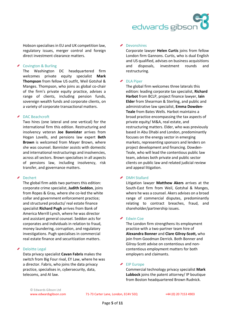Hobson specialises in EU and UK competition law, regulatory issues, merger control and foreign direct investment clearance matters.

## Covington & Burling

The Washington DC headquartered firm welcomes private equity specialist **Mark Thompson** from fellow US outfit, Weil Gotshal & Manges. Thompson, who joins as global co-chair of the firm's private equity practice, advises a range of clients, including pension funds, sovereign wealth funds and corporate clients, on a variety of corporate transactional matters.

## DAC Beachcroft

Two hires (one lateral and one vertical) for the international firm this edition. Restructuring and insolvency veteran **Joe Bannister** arrives from Hogan Lovells, and pensions law expert **Beth Brown** is welcomed from Mayer Brown, where she was counsel. Bannister assists with domestic and international restructurings and insolvencies, across all sectors. Brown specialises in all aspects of pensions law, including insolvency, risk transfer, and governance matters.

## Dechert

The global firm adds two partners this edition: corporate crime specialist, **Judith Seddon**, joins from Ropes & Gray, where she co-led the white collar and government enforcement practice; and structured products/ real estate finance specialist **Richard Pugh** arrives from Bank of America Merrill Lynch, where he was director and assistant general counsel. Seddon acts for corporates and individuals in relation to fraud, money laundering, corruption, and regulatory investigations. Pugh specialises in commercial real estate finance and securitization matters.

# Deloitte Legal

Data privacy specialist **Cavan Fabris** makes the switch from Big Four rival, EY Law, where he was a director. Fabris, who joins the data privacy practice, specialises in, cybersecurity, data, telecoms, and AI law.

# ◆ Devonshires

Corporate lawyer **Helen Curtis** joins from fellow London firm Gannons. Curtis, who is dual English and US qualified, advises on business acquisitions and disposals, investment rounds and restructuring.

# ◆ DLA Piper

The global firm welcomes three laterals this edition: leading corporate tax specialist, **Richard Harbot** from BCLP, project finance lawyer, **Iain Elder** from Shearman & Sterling, and public and administrative law specialist, **Emma Dowden-Teale** from Bates Wells. Harbot maintains a broad practice encompassing the tax aspects of private equity/ M&A, real estate, and restructuring matters. Elder, who was previously based in Abu Dhabi and London, predominantly focuses on the energy sector in emerging markets, representing sponsors and lenders on project development and financing. Dowden-Teale, who will lead the contentious public law team, advises both private and public sector clients on public law and related judicial review and appeal litigation.

# DMH Stallard

Litigation lawyer **Matthew Akers** arrives at the South-East firm from Weil, Gotshal & Manges, where he was a counsel. Akers advises on a broad range of commercial disputes, predominantly relating to contract breaches, fraud, and shareholder/partnership issues.

## ◆ Edwin Coe

The London firm strengthens its employment practice with a two-partner team hire of **Alexandra Bonner** and **Clare Gilroy-Scott,** who join from Goodman Derrick. Both Bonner and Gilroy-Scott advise on contentious and noncontentious employment matters for both employers and claimants.

## EIP Europe

Commercial technology privacy specialist **Mark Lubbock** joins the patent attorney/ IP boutique from Boston headquartered Brown Rudnick.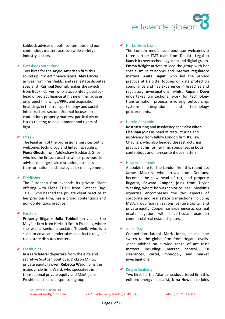Lubbock advises on both contentious and noncontentious matters across a wide variety of industry sectors.

## ◆ Eversheds Sutherland

Two hires for the Anglo-American firm this round up: project finance lateral **Alex Carver**, arrives from Freshfields; and real estate disputes specialist, **Rashpal Soomal**, makes the switch from BCLP. Carver, who is appointed global cohead of project finance at his new firm, advises on project financings/PPPs and acquisition financings in the transport energy and social infrastructure sectors. Soomal focuses on contentious property matters, particularly on issues relating to development and rights of light.

## ◆ EY Law

The legal arm of the professional services outfit welcomes technology and fintech specialist, **Fiona Ghosh,** from Addleshaw Goddard. Ghosh, who led the fintech practice at her previous firm, advises on large scale disruption, business transformation, and strategic risk management.

# Fieldfisher

The European firm expands its private client offering with **Elena Tzialli** from Fletcher Day. Tzialli, who headed the private client practice at her previous firm, has a broad contentious and non-contentious practice.

# ◆ Forsters

Property litigator **Julia Tobbell** arrives at **t**he Mayfair firm from Herbert Smith Freehills, where she was a senior associate. Tobbell, who is a solicitor advocate undertakes an eclectic range of real estate disputes matters.

# ◆ Freshfields

In a rare lateral departure from the elite and secretive Scottish boutique, Dickson Minto, private equity lawyer, **Rebecca Ward**, joins the magic circle firm. Ward, who specialises in transactional private equity and M&A, joins Freshfield's financial sponsors group.

## ◆ Harbottle & Lewis

The London media tech boutique welcomes a three-partner TMT team from Deloitte Legal to launch its new technology, data and digital group. **Emma Wright** arrives to lead the group with her specialism in telecoms and internet regulatory matters. **Anita Bapat**, who led the privacy practice at Deloitte, focuses on data protection compliance and has experience in breaches and regulatory investigations, whilst **Rupam Davé** undertakes transactional work for technology transformation projects involving outsourcing, systems integration, and technology procurements.

# Harold Benjamin

Restructuring and insolvency specialist **Niten Chauhan** joins as head of restructuring and insolvency from fellow London firm JPC law. Chauhan, who also headed the restructuring practice at his former firm, specialises in both contentious and non-contentious matters.

# ◆ Howard Kennedy

A double hire for the London firm this round-up: **James Meakin**, who arrives from Dentons, becomes the new head of tax; and property litigator, **Edward Cooper**, joins from Taylor Wessing, where he was senior counsel. Meakin's expertise encompasses the tax aspects of corporate and real estate transactions including M&A, group reorganisations, venture capital, and private equity. Cooper has experience across real estate litigation, with a particular focus on commercial real estate disputes.

## ◆ Jones Day

Competition lateral **Mark Jones**, makes the switch to the global firm from Hogan Lovells. Jones advises on a wide range of anti-trust matters including: merger control, FDI clearances, cartel, monopoly and market investigations.

## $\triangleright$  King & Spalding

Two hires for the Atlanta headquartered firm this edition: energy specialist, **Nina Howell**, re-joins

© Edwards Gibson Ltd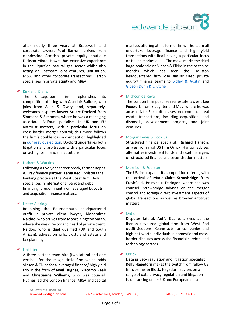

after nearly three years at Bracewell; and corporate lawyer, **Paul Barron**, arrives from clandestine Scottish private equity boutique Dickson Minto. Howell has extensive experience in the liquefied natural gas sector whilst also acting on upstream joint ventures, unitisation, M&A, and other corporate transactions. Barron specialises in private equity and M&A.

#### Kirkland & Ellis

The Chicago-born firm replenishes its competition offering with **Alasdair Balfour**, who joins from Allen & Overy, and, separately, welcomes disputes lawyer **Stuart Doxford** from Simmons & Simmons, where he was a managing associate. Balfour specialises in UK and EU antitrust matters, with a particular focus on cross-border merger control; this move follows the firm's double loss in competition highlighted in [our previous edition.](https://www.edwardsgibson.com/downloads/Partner%20Moves%20January-February%202022%20Final.pdf) Doxford undertakes both litigation and arbitration with a particular focus on acting for financial institutions.

#### ◆ Latham & Watkins

Following a five-year career break, former Ropes & Gray finance partner, **Tania Bedi**, bolsters the banking practice at the West Coast firm. Bedi specialises in international bank and debt financing, predominantly on leveraged buyouts and acquisition finance matters.

#### Lester Aldridge

Re-joining the Bournemouth headquartered outfit is private client lawyer, **Mahendree Naidoo**, who arrives from Moore Kingston Smith, where she was director and head of private client. Naidoo, who is dual qualified (UK and South African), advises on wills, trusts and estate and tax planning.

#### ◆ Linklaters

A three-partner team hire (two lateral and one vertical) for the magic circle firm which raids Vinson & Elkins for a leveraged finance/ high yield trio in the form of **Noel Hughes**, **Giacomo Reali**  and **Christianne Williams**, who was counsel. Hughes led the London finance, M&A and capital markets offering at his former firm. The team all undertake leverage finance and high yield transactions with Reali having a particular focus on Italian market deals. The move marks the third large-scale raid on Vinson & Elkins in the past nine months which has seen the Houston headquartered firm lose similar sized private equity/ finance teams to [Sidley & Austin](https://www.edwardsgibson.com/downloads/Partner%20Moves%20July%20-%20August%202021.pdf) and [Gibson Dunn & Crutcher.](https://www.edwardsgibson.com/downloads/Partner%20Moves%20September%20-%20October%202021%20Final.pdf)

#### ◆ Mishcon de Reva

The London firm poaches real estate lawyer, **Lee Foxcroft,** from Slaughter and May, where he was an associate. Foxcroft advises on commercial real estate transactions, including acquisitions and disposals, development projects, and joint ventures.

#### ◆ Morgan Lewis & Bockius

Structured finance specialist, **Richard Hanson**, arrives from rival US firm Orrick. Hanson advises alternative investment funds and asset managers on structured finance and securitisation matters.

## ◆ Morrison & Foerster

The US firm expands its competition offering with the arrival of **Marie-Claire Strawbridge** from Freshfields Bruckhaus Deringer, where she was counsel. Strawbridge advises on the merger control and foreign direct investment aspects of global transactions as well as broader antitrust matters.

#### ← Ontier

Disputes lateral, **Aoife Keane**, arrives at the Iberian flavoured global firm from West End outfit Seddons. Keane acts for companies and high-net-worth individuals in domestic and crossborder disputes across the financial services and technology sectors.

#### ◆ Orrick

Data privacy regulation and litigation specialist **Kelly Hagedorn** makes the switch from fellow US firm, Jenner & Block. Hagedorn advises on a range of data privacy regulation and litigation issues arising under UK and European data

© Edwards Gibson Ltd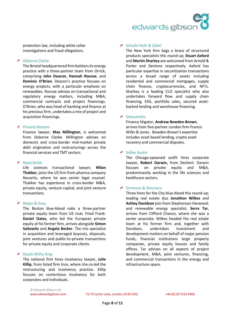

protection law, including white collar investigations and fraud allegations.

#### Osborne Clarke

The Bristol headquartered firm bolsters its energy practice with a three-partner team from Orrick, comprising **John Deacon**, **Hannah Roscoe**, and **Dominic O'Brien**. Deacon's practice focuses on energy projects, with a particular emphasis on renewables. Roscoe advises on transactional and regulatory energy matters, including M&A, commercial contracts and project financings. O'Brien, who was head of banking and finance at his previous firm, undertakes a mix of project and acquisition financings.

### Pinsent Masons

Finance lawyer, **Max Millington**, is welcomed from Osborne Clarke. Millington advises on domestic and cross-border mid-market private debt origination and restructurings across the financial services and TMT sectors.

## ◆ Reed Smith

Life sciences transactional lawyer, **Milan Thakker**, joins the US firm from pharma company Novartis, where he was senior legal counsel. Thakker has experience in cross-border M&A, private equity, venture capital, and joint venture transactions.

## Ropes & Gray

The Boston blue-blood nabs a three-partner private equity team from US rival, Fried Frank: **Daniel Oates**, who led the European private equity at his former firm, arrives alongside **Simon Saitowitz** and **Angela Becker**. The trio specialise in acquisition and leveraged buyouts, disposals, joint ventures and public-to-private transactions for private equity and corporate clients.

## ◆ Royds Withy King

The national firm hires insolvency lawyer, **Julie Killip**, from listed firm Ince, where she co-led the restructuring and insolvency practice. Killip focuses on contentious insolvency for both corporates and individuals.

#### ◆ Schulte Roth & Zabel

The New York firm bags a brace of structured products specialists this round-up; **Stuart Axford** and **Martin Sharkey** are welcomed from Arnold & Porter and Dentons respectively. Axford has particular expertise in securitization transactions across a broad range of assets including residential and commercial mortgages, supply chain finance, cryptocurrencies, and NFTs. Sharkey is a leading CLO specialist who also undertakes forward flow and supply chain financing, ESG, portfolio sales, secured assetbacked lending and warehouse financing.

#### ◆ Shoosmiths

Finance litigator, **Andrew Bowden-Brown**, arrives from five-partner London firm Francis Wilks & Jones. Bowden-Brown's expertise includes asset based lending, crypto asset recovery and commercial disputes.

#### Sidley Austin

The Chicago-spawned outfit hires corporate lawyer, **Robert Darwin,** from Dechert. Darwin focuses on private equity and M&A, predominantly working in the life sciences and healthcare sectors.

#### $\triangleright$  Simmons & Simmons

Three hires for the City blue-blood this round-up; leading real estate duo **Jonathon Wilkes** and **Ashley Davidson** join from Stephenson Harwood; and renewable energy specialist, **Serra Tar**, arrives from Clifford Chance, where she was a senior associate. Wilkes headed the real estate team at his former firm and, together with Davidson, undertakes investment and development matters on behalf of major pension funds, financial institutions large property companies, private equity houses and family offices. Tar advises on all aspects of project development, M&A, joint ventures, financing, and commercial transactions in the energy and infrastructure space.

© Edwards Gibson Ltd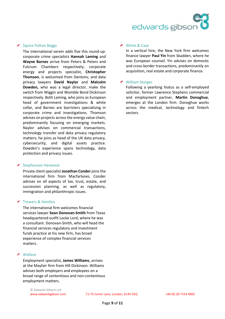#### Squire Patton Boggs

The international verein adds five this round-up: corporate crime specialists **Hannah Laming** and **Wayne Barnes** arrive from Peters & Peters and Fulcrum Chambers respectively; corporate energy and projects specialist, **Christopher Thomson**, is welcomed from Dentons; and data privacy lawyers **David Naylor** and **Malcolm Dowden,** who was a legal director, make the switch from Wiggin and Womble Bond Dickinson respectively. Both Laming, who joins as European head of government investigations & white collar, and Barnes are barristers specialising in corporate crime and investigations. Thomson advises on projects across the energy value chain, predominantly focusing on emerging markets. Naylor advises on commercial transactions, technology transfer and data privacy regulatory matters; he joins as head of the UK data privacy, cybersecurity, and digital assets practice. Dowden's experience spans technology, data protection and privacy issues.

## ◆ Stephenson Harwood

Private client specialist **Jonathan Conder** joins the international firm from Macfarlanes. Conder advises on all aspects of tax, trust, estate, and succession planning, as well as regulatory, immigration and philanthropic issues.

## Trowers & Hamlins

The international firm welcomes financial services lawyer **Sean Donovan-Smith** from Texas headquartered outfit Locke Lord, where he was a consultant. Donovan-Smith, who will head the financial services regulatory and investment funds practice at his new firm, has broad experience of complex financial services matters.

#### **Wallace**

Employment specialist, **James Williams**, arrives at the Mayfair firm from Hill Dickinson. Williams advises both employers and employees on a broad range of contentious and non-contentious employment matters.

© Edwards Gibson Ltd

◆ White & Case

In a vertical hire, the New York firm welcomes finance lawyer **Paul Yin** from Skadden, where he was European counsel. Yin advises on domestic and cross-border transactions, predominantly on acquisition, real estate and corporate finance.

#### William Sturges

Following a yearlong hiatus as a self-employed solicitor, former Lawrence Stephens commercial and employment partner, **Martin Donoghue**, emerges at the London firm. Donoghue works across the medical, technology and fintech sectors.